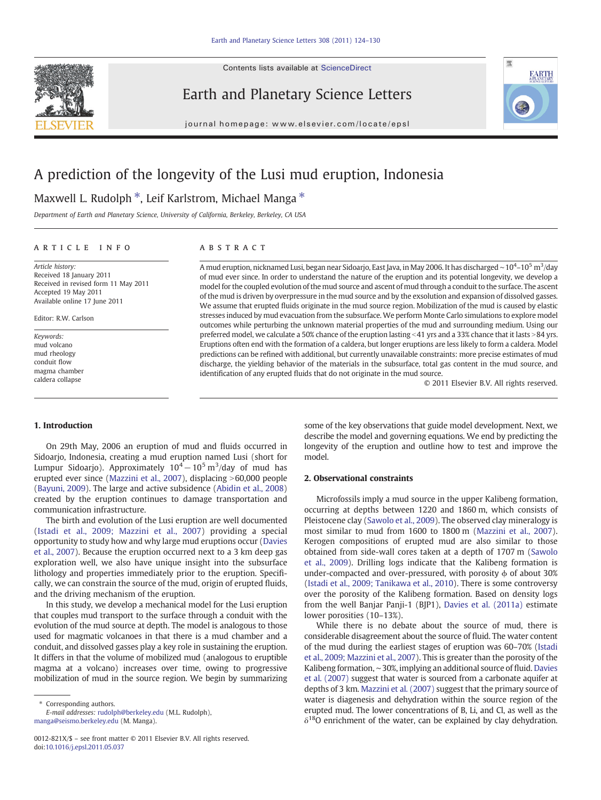Contents lists available at ScienceDirect



Earth and Planetary Science Letters



journal homepage: www.elsevier.com/locate/epsl

# A prediction of the longevity of the Lusi mud eruption, Indonesia

# Maxwell L. Rudolph  $*$ , Leif Karlstrom, Michael Manga  $*$

Department of Earth and Planetary Science, University of California, Berkeley, Berkeley, CA USA

# article info abstract

Article history: Received 18 January 2011 Received in revised form 11 May 2011 Accepted 19 May 2011 Available online 17 June 2011

Editor: R.W. Carlson

Keywords: mud volcano mud rheology conduit flow magma chamber caldera collapse

A mud eruption, nicknamed Lusi, began near Sidoarjo, East Java, in May 2006. It has discharged ~10<sup>4</sup>–10<sup>5</sup> m<sup>3</sup>/day of mud ever since. In order to understand the nature of the eruption and its potential longevity, we develop a model for the coupled evolution of the mud source and ascent of mud through a conduit to the surface. The ascent of the mud is driven by overpressure in the mud source and by the exsolution and expansion of dissolved gasses. We assume that erupted fluids originate in the mud source region. Mobilization of the mud is caused by elastic stresses induced by mud evacuation from the subsurface. We perform Monte Carlo simulations to explore model outcomes while perturbing the unknown material properties of the mud and surrounding medium. Using our preferred model, we calculate a 50% chance of the eruption lasting  $<41$  yrs and a 33% chance that it lasts  $>84$  yrs. Eruptions often end with the formation of a caldera, but longer eruptions are less likely to form a caldera. Model predictions can be refined with additional, but currently unavailable constraints: more precise estimates of mud discharge, the yielding behavior of the materials in the subsurface, total gas content in the mud source, and identification of any erupted fluids that do not originate in the mud source.

© 2011 Elsevier B.V. All rights reserved.

# 1. Introduction

On 29th May, 2006 an eruption of mud and fluids occurred in Sidoarjo, Indonesia, creating a mud eruption named Lusi (short for Lumpur Sidoarjo). Approximately  $10^4 - 10^5 \text{ m}^3/\text{day}$  of mud has erupted ever since [\(Mazzini et al., 2007](#page-6-0)), displacing >60,000 people [\(Bayuni, 2009\)](#page-6-0). The large and active subsidence ([Abidin et al., 2008](#page-6-0)) created by the eruption continues to damage transportation and communication infrastructure.

The birth and evolution of the Lusi eruption are well documented [\(Istadi et al., 2009; Mazzini et al., 2007\)](#page-6-0) providing a special opportunity to study how and why large mud eruptions occur ([Davies](#page-6-0) [et al., 2007](#page-6-0)). Because the eruption occurred next to a 3 km deep gas exploration well, we also have unique insight into the subsurface lithology and properties immediately prior to the eruption. Specifically, we can constrain the source of the mud, origin of erupted fluids, and the driving mechanism of the eruption.

In this study, we develop a mechanical model for the Lusi eruption that couples mud transport to the surface through a conduit with the evolution of the mud source at depth. The model is analogous to those used for magmatic volcanoes in that there is a mud chamber and a conduit, and dissolved gasses play a key role in sustaining the eruption. It differs in that the volume of mobilized mud (analogous to eruptible magma at a volcano) increases over time, owing to progressive mobilization of mud in the source region. We begin by summarizing

⁎ Corresponding authors.

some of the key observations that guide model development. Next, we describe the model and governing equations. We end by predicting the longevity of the eruption and outline how to test and improve the model.

# 2. Observational constraints

Microfossils imply a mud source in the upper Kalibeng formation, occurring at depths between 1220 and 1860 m, which consists of Pleistocene clay [\(Sawolo et al., 2009\)](#page-6-0). The observed clay mineralogy is most similar to mud from 1600 to 1800 m ([Mazzini et al., 2007](#page-6-0)). Kerogen compositions of erupted mud are also similar to those obtained from side-wall cores taken at a depth of 1707 m ([Sawolo](#page-6-0) [et al., 2009\)](#page-6-0). Drilling logs indicate that the Kalibeng formation is under-compacted and over-pressured, with porosity  $\phi$  of about 30% [\(Istadi et al., 2009; Tanikawa et al., 2010](#page-6-0)). There is some controversy over the porosity of the Kalibeng formation. Based on density logs from the well Banjar Panji-1 (BJP1), [Davies et al. \(2011a\)](#page-6-0) estimate lower porosities (10–13%).

While there is no debate about the source of mud, there is considerable disagreement about the source of fluid. The water content of the mud during the earliest stages of eruption was 60–70% [\(Istadi](#page-6-0) [et al., 2009; Mazzini et al., 2007](#page-6-0)). This is greater than the porosity of the Kalibeng formation, ∼30%, implying an additional source of fluid. [Davies](#page-6-0) [et al. \(2007\)](#page-6-0) suggest that water is sourced from a carbonate aquifer at depths of 3 km. [Mazzini et al. \(2007\)](#page-6-0) suggest that the primary source of water is diagenesis and dehydration within the source region of the erupted mud. The lower concentrations of B, Li, and Cl, as well as the  $\delta^{18}$ O enrichment of the water, can be explained by clay dehydration.

E-mail addresses: [rudolph@berkeley.edu](mailto:rudolph@berkeley.edu) (M.L. Rudolph), [manga@seismo.berkeley.edu](mailto:manga@seismo.berkeley.edu) (M. Manga).

<sup>0012-821</sup>X/\$ – see front matter © 2011 Elsevier B.V. All rights reserved. doi[:10.1016/j.epsl.2011.05.037](http://dx.doi.org/10.1016/j.epsl.2011.05.037)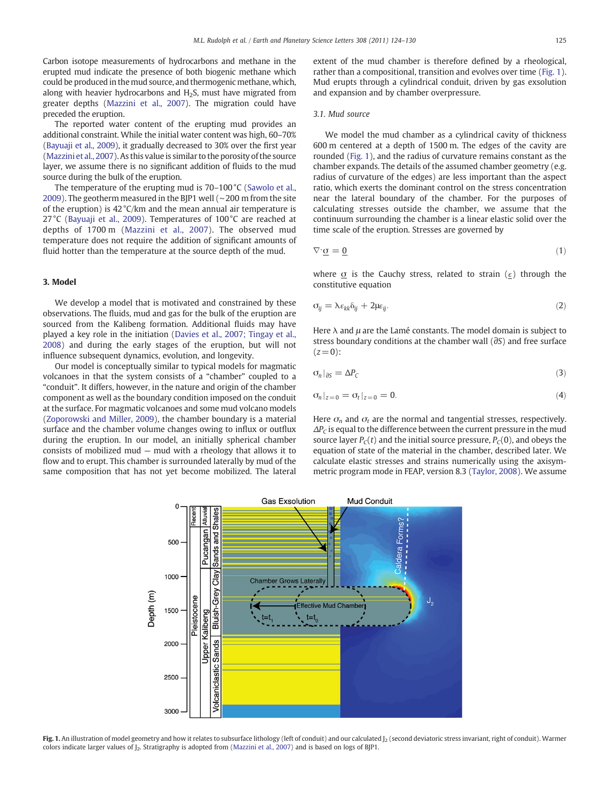Carbon isotope measurements of hydrocarbons and methane in the erupted mud indicate the presence of both biogenic methane which could be produced in the mud source, and thermogenic methane, which, along with heavier hydrocarbons and  $H_2S$ , must have migrated from greater depths ([Mazzini et al., 2007\)](#page-6-0). The migration could have preceded the eruption.

The reported water content of the erupting mud provides an additional constraint. While the initial water content was high, 60–70% [\(Bayuaji et al., 2009\)](#page-6-0), it gradually decreased to 30% over the first year [\(Mazzini et al., 2007\)](#page-6-0). As this value is similar to the porosity of the source layer, we assume there is no significant addition of fluids to the mud source during the bulk of the eruption.

The temperature of the erupting mud is 70–100 °C [\(Sawolo et al.,](#page-6-0) [2009\)](#page-6-0). The geotherm measured in the BJP1 well (∼200 m from the site of the eruption) is 42 °C/km and the mean annual air temperature is 27 °C ([Bayuaji et al., 2009\)](#page-6-0). Temperatures of 100 °C are reached at depths of 1700 m ([Mazzini et al., 2007\)](#page-6-0). The observed mud temperature does not require the addition of significant amounts of fluid hotter than the temperature at the source depth of the mud.

#### 3. Model

We develop a model that is motivated and constrained by these observations. The fluids, mud and gas for the bulk of the eruption are sourced from the Kalibeng formation. Additional fluids may have played a key role in the initiation [\(Davies et al., 2007; Tingay et al.,](#page-6-0) [2008\)](#page-6-0) and during the early stages of the eruption, but will not influence subsequent dynamics, evolution, and longevity.

Our model is conceptually similar to typical models for magmatic volcanoes in that the system consists of a "chamber" coupled to a "conduit". It differs, however, in the nature and origin of the chamber component as well as the boundary condition imposed on the conduit at the surface. For magmatic volcanoes and some mud volcano models [\(Zoporowski and Miller, 2009\)](#page-6-0), the chamber boundary is a material surface and the chamber volume changes owing to influx or outflux during the eruption. In our model, an initially spherical chamber consists of mobilized mud — mud with a rheology that allows it to flow and to erupt. This chamber is surrounded laterally by mud of the same composition that has not yet become mobilized. The lateral

extent of the mud chamber is therefore defined by a rheological, rather than a compositional, transition and evolves over time (Fig. 1). Mud erupts through a cylindrical conduit, driven by gas exsolution and expansion and by chamber overpressure.

### 3.1. Mud source

We model the mud chamber as a cylindrical cavity of thickness 600 m centered at a depth of 1500 m. The edges of the cavity are rounded (Fig. 1), and the radius of curvature remains constant as the chamber expands. The details of the assumed chamber geometry (e.g. radius of curvature of the edges) are less important than the aspect ratio, which exerts the dominant control on the stress concentration near the lateral boundary of the chamber. For the purposes of calculating stresses outside the chamber, we assume that the continuum surrounding the chamber is a linear elastic solid over the time scale of the eruption. Stresses are governed by

$$
\nabla \cdot \underline{\sigma} = \underline{0},\tag{1}
$$

where  $\sigma$  is the Cauchy stress, related to strain ( $\varepsilon$ ) through the constitutive equation

$$
\sigma_{ij} = \lambda \varepsilon_{kk} \delta_{ij} + 2\mu \varepsilon_{ij}.
$$
 (2)

Here  $\lambda$  and  $\mu$  are the Lamé constants. The model domain is subject to stress boundary conditions at the chamber wall (∂S) and free surface  $(z= 0)$ :

$$
\sigma_n|_{\partial S} = \Delta P_C \tag{3}
$$

$$
\sigma_n|_{z=0} = \sigma_t|_{z=0} = 0. \tag{4}
$$

Here  $\sigma_n$  and  $\sigma_t$  are the normal and tangential stresses, respectively.  $\Delta P_C$  is equal to the difference between the current pressure in the mud source layer  $P_C(t)$  and the initial source pressure,  $P_C(0)$ , and obeys the equation of state of the material in the chamber, described later. We calculate elastic stresses and strains numerically using the axisymmetric program mode in FEAP, version 8.3 ([Taylor, 2008\)](#page-6-0). We assume



Fig. 1. An illustration of model geometry and how it relates to subsurface lithology (left of conduit) and our calculated J<sub>2</sub> (second deviatoric stress invariant, right of conduit). Warmer colors indicate larger values of J2. Stratigraphy is adopted from [\(Mazzini et al., 2007](#page-6-0)) and is based on logs of BJP1.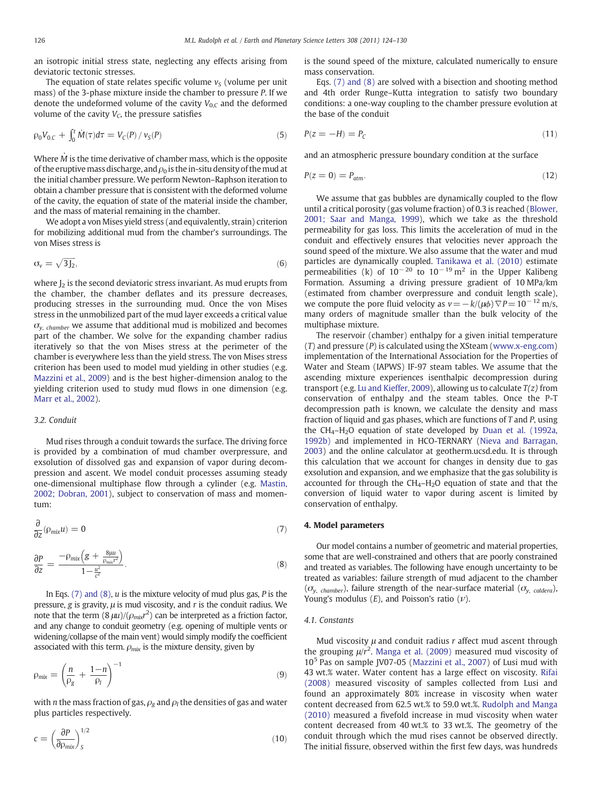an isotropic initial stress state, neglecting any effects arising from deviatoric tectonic stresses.

The equation of state relates specific volume  $v<sub>S</sub>$  (volume per unit mass) of the 3-phase mixture inside the chamber to pressure P. If we denote the undeformed volume of the cavity  $V_{0,C}$  and the deformed volume of the cavity  $V_c$ , the pressure satisfies

$$
\rho_0 V_{0,C} + \int_0^t \dot{M}(\tau) d\tau = V_C(P) / v_S(P)
$$
\n(5)

Where  $\dot{M}$  is the time derivative of chamber mass, which is the opposite of the eruptive mass discharge, and  $\rho_0$  is the in-situ density of the mud at the initial chamber pressure. We perform Newton–Raphson iteration to obtain a chamber pressure that is consistent with the deformed volume of the cavity, the equation of state of the material inside the chamber, and the mass of material remaining in the chamber.

We adopt a von Mises yield stress (and equivalently, strain) criterion for mobilizing additional mud from the chamber's surroundings. The von Mises stress is

$$
\sigma_{v} = \sqrt{3J_{2}},\tag{6}
$$

where  $J_2$  is the second deviatoric stress invariant. As mud erupts from the chamber, the chamber deflates and its pressure decreases, producing stresses in the surrounding mud. Once the von Mises stress in the unmobilized part of the mud layer exceeds a critical value  $\sigma_{v. chamber}$  we assume that additional mud is mobilized and becomes part of the chamber. We solve for the expanding chamber radius iteratively so that the von Mises stress at the perimeter of the chamber is everywhere less than the yield stress. The von Mises stress criterion has been used to model mud yielding in other studies (e.g. [Mazzini et al., 2009\)](#page-6-0) and is the best higher-dimension analog to the yielding criterion used to study mud flows in one dimension (e.g. [Marr et al., 2002](#page-6-0)).

# 3.2. Conduit

Mud rises through a conduit towards the surface. The driving force is provided by a combination of mud chamber overpressure, and exsolution of dissolved gas and expansion of vapor during decompression and ascent. We model conduit processes assuming steady one-dimensional multiphase flow through a cylinder (e.g. [Mastin,](#page-6-0) [2002; Dobran, 2001\)](#page-6-0), subject to conservation of mass and momentum:

$$
\frac{\partial}{\partial z}(\rho_{\text{mix}}u) = 0\tag{7}
$$

$$
\frac{\partial P}{\partial z} = \frac{-\rho_{mix}\left(g + \frac{8\mu u}{\rho_{mix}r^2}\right)}{1 - \frac{u^2}{c^2}}.
$$
\n(8)

In Eqs.  $(7)$  and  $(8)$ ,  $u$  is the mixture velocity of mud plus gas,  $P$  is the pressure, g is gravity,  $\mu$  is mud viscosity, and r is the conduit radius. We note that the term  $(8 \,\mu\mu)/(\rho_{\text{mix}}r^2)$  can be interpreted as a friction factor, and any change to conduit geometry (e.g. opening of multiple vents or widening/collapse of the main vent) would simply modify the coefficient associated with this term.  $\rho_{mix}$  is the mixture density, given by

$$
\rho_{\text{mix}} = \left(\frac{n}{\rho_g} + \frac{1-n}{\rho_l}\right)^{-1} \tag{9}
$$

with *n* the mass fraction of gas,  $\rho_{\rm g}$  and  $\rho_{\rm l}$  the densities of gas and water plus particles respectively.

$$
c = \left(\frac{\partial P}{\partial \rho_{mix}}\right)_S^{1/2} \tag{10}
$$

is the sound speed of the mixture, calculated numerically to ensure mass conservation.

Eqs. (7) and (8) are solved with a bisection and shooting method and 4th order Runge–Kutta integration to satisfy two boundary conditions: a one-way coupling to the chamber pressure evolution at the base of the conduit

$$
P(z = -H) = P_C \tag{11}
$$

and an atmospheric pressure boundary condition at the surface

$$
P(z=0) = P_{\text{atm}}.\tag{12}
$$

We assume that gas bubbles are dynamically coupled to the flow until a critical porosity (gas volume fraction) of 0.3 is reached [\(Blower,](#page-6-0) [2001; Saar and Manga, 1999\)](#page-6-0), which we take as the threshold permeability for gas loss. This limits the acceleration of mud in the conduit and effectively ensures that velocities never approach the sound speed of the mixture. We also assume that the water and mud particles are dynamically coupled. [Tanikawa et al. \(2010\)](#page-6-0) estimate permeabilities (k) of  $10^{-20}$  to  $10^{-19}$  m<sup>2</sup> in the Upper Kalibeng Formation. Assuming a driving pressure gradient of 10 MPa/km (estimated from chamber overpressure and conduit length scale), we compute the pore fluid velocity as  $v = -k/(\mu\phi)\nabla P = 10^{-12}$  m/s, many orders of magnitude smaller than the bulk velocity of the multiphase mixture.

The reservoir (chamber) enthalpy for a given initial temperature  $(T)$  and pressure  $(P)$  is calculated using the XSteam ([www.x-eng.com](http://www.x-eng.com)) implementation of the International Association for the Properties of Water and Steam (IAPWS) IF-97 steam tables. We assume that the ascending mixture experiences isenthalpic decompression during transport (e.g. [Lu and Kieffer, 2009\)](#page-6-0), allowing us to calculate  $T(z)$  from conservation of enthalpy and the steam tables. Once the P-T decompression path is known, we calculate the density and mass fraction of liquid and gas phases, which are functions of T and P, using the CH4–H2O equation of state developed by [Duan et al. \(1992a,](#page-6-0) [1992b\)](#page-6-0) and implemented in HCO-TERNARY ([Nieva and Barragan,](#page-6-0) [2003\)](#page-6-0) and the online calculator at geotherm.ucsd.edu. It is through this calculation that we account for changes in density due to gas exsolution and expansion, and we emphasize that the gas solubility is accounted for through the  $CH_4-H_2O$  equation of state and that the conversion of liquid water to vapor during ascent is limited by conservation of enthalpy.

### 4. Model parameters

Our model contains a number of geometric and material properties, some that are well-constrained and others that are poorly constrained and treated as variables. The following have enough uncertainty to be treated as variables: failure strength of mud adjacent to the chamber ( $\sigma_{v, chamber}$ ), failure strength of the near-surface material ( $\sigma_{v, calendar}$ ), Young's modulus  $(E)$ , and Poisson's ratio  $(\nu)$ .

#### 4.1. Constants

Mud viscosity  $\mu$  and conduit radius r affect mud ascent through the grouping  $\mu/r^2$ . [Manga et al. \(2009\)](#page-6-0) measured mud viscosity of 10<sup>5</sup> Pas on sample JV07-05 ([Mazzini et al., 2007\)](#page-6-0) of Lusi mud with 43 wt.% water. Water content has a large effect on viscosity. [Rifai](#page-6-0) [\(2008\)](#page-6-0) measured viscosity of samples collected from Lusi and found an approximately 80% increase in viscosity when water content decreased from 62.5 wt.% to 59.0 wt.%. [Rudolph and Manga](http://dx.doi.org/10.1029/2010JB007737) [\(2010\)](http://dx.doi.org/10.1029/2010JB007737) measured a fivefold increase in mud viscosity when water content decreased from 40 wt.% to 33 wt.%. The geometry of the conduit through which the mud rises cannot be observed directly. The initial fissure, observed within the first few days, was hundreds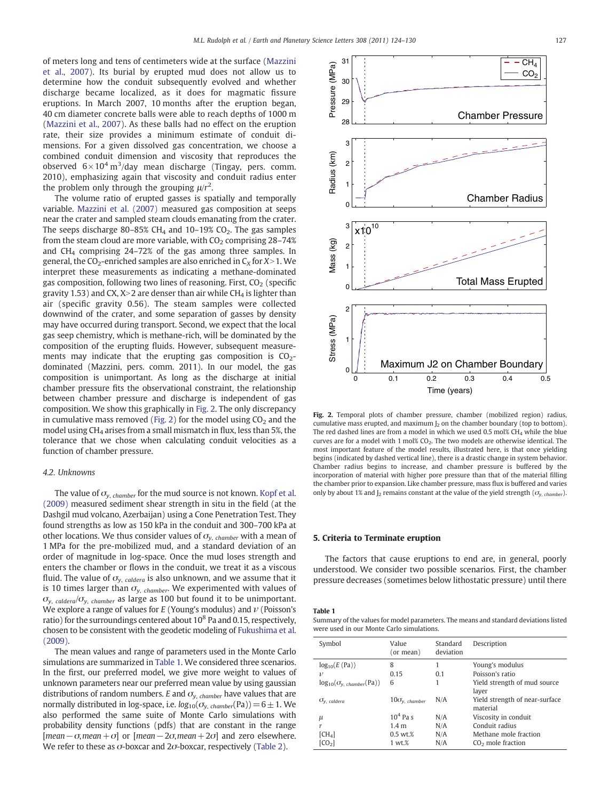<span id="page-3-0"></span>of meters long and tens of centimeters wide at the surface [\(Mazzini](#page-6-0) [et al., 2007](#page-6-0)). Its burial by erupted mud does not allow us to determine how the conduit subsequently evolved and whether discharge became localized, as it does for magmatic fissure eruptions. In March 2007, 10 months after the eruption began, 40 cm diameter concrete balls were able to reach depths of 1000 m [\(Mazzini et al., 2007\)](#page-6-0). As these balls had no effect on the eruption rate, their size provides a minimum estimate of conduit dimensions. For a given dissolved gas concentration, we choose a combined conduit dimension and viscosity that reproduces the observed  $6\times10^4\,\mathrm{m}^3/\mathrm{day}$  mean discharge (Tingay, pers. comm. 2010), emphasizing again that viscosity and conduit radius enter the problem only through the grouping  $\mu/r^2$ .

The volume ratio of erupted gasses is spatially and temporally variable. [Mazzini et al. \(2007\)](#page-6-0) measured gas composition at seeps near the crater and sampled steam clouds emanating from the crater. The seeps discharge 80–85% CH<sub>4</sub> and 10–19% CO<sub>2</sub>. The gas samples from the steam cloud are more variable, with  $CO<sub>2</sub>$  comprising 28-74% and  $CH<sub>4</sub>$  comprising 24–72% of the gas among three samples. In general, the CO<sub>2</sub>-enriched samples are also enriched in  $C_X$  for  $X>1$ . We interpret these measurements as indicating a methane-dominated gas composition, following two lines of reasoning. First,  $CO<sub>2</sub>$  (specific gravity 1.53) and CX,  $X>2$  are denser than air while CH<sub>4</sub> is lighter than air (specific gravity 0.56). The steam samples were collected downwind of the crater, and some separation of gasses by density may have occurred during transport. Second, we expect that the local gas seep chemistry, which is methane-rich, will be dominated by the composition of the erupting fluids. However, subsequent measurements may indicate that the erupting gas composition is  $CO<sub>2</sub>$ dominated (Mazzini, pers. comm. 2011). In our model, the gas composition is unimportant. As long as the discharge at initial chamber pressure fits the observational constraint, the relationship between chamber pressure and discharge is independent of gas composition. We show this graphically in Fig. 2. The only discrepancy in cumulative mass removed (Fig. 2) for the model using  $CO<sub>2</sub>$  and the model using CH4 arises from a small mismatch in flux, less than 5%, the tolerance that we chose when calculating conduit velocities as a function of chamber pressure.

#### 4.2. Unknowns

The value of  $\sigma_{y, \text{ chamber}}$  for the mud source is not known. [Kopf et al.](#page-6-0) [\(2009\)](#page-6-0) measured sediment shear strength in situ in the field (at the Dashgil mud volcano, Azerbaijan) using a Cone Penetration Test. They found strengths as low as 150 kPa in the conduit and 300–700 kPa at other locations. We thus consider values of  $\sigma_{y, \; chamber}$  with a mean of 1 MPa for the pre-mobilized mud, and a standard deviation of an order of magnitude in log-space. Once the mud loses strength and enters the chamber or flows in the conduit, we treat it as a viscous fluid. The value of  $\sigma_{y, \text{ caldera}}$  is also unknown, and we assume that it is 10 times larger than  $\sigma_{y, \text{ chamber}}$ . We experimented with values of  $\sigma_{v}$ , caldera/ $\sigma_{v}$ , chamber as large as 100 but found it to be unimportant. We explore a range of values for E (Young's modulus) and  $\nu$  (Poisson's ratio) for the surroundings centered about  $10^8$  Pa and 0.15, respectively, chosen to be consistent with the geodetic modeling of [Fukushima et al.](#page-6-0) [\(2009\)](#page-6-0).

The mean values and range of parameters used in the Monte Carlo simulations are summarized in Table 1. We considered three scenarios. In the first, our preferred model, we give more weight to values of unknown parameters near our preferred mean value by using gaussian distributions of random numbers. E and  $\sigma_{v, \text{ chamber}}$  have values that are normally distributed in log-space, i.e.  $log_{10}(\sigma_{y, \text{ chamber}}(Pa))=6\pm1$ . We also performed the same suite of Monte Carlo simulations with probability density functions (pdfs) that are constant in the range [mean –  $\sigma$ , mean +  $\sigma$ ] or [mean – 2 $\sigma$ , mean + 2 $\sigma$ ] and zero elsewhere. We refer to these as  $\sigma$ -boxcar and  $2\sigma$ -boxcar, respectively [\(Table 2](#page-4-0)).



Fig. 2. Temporal plots of chamber pressure, chamber (mobilized region) radius, cumulative mass erupted, and maximum  $J_2$  on the chamber boundary (top to bottom). The red dashed lines are from a model in which we used 0.5 mol%  $CH<sub>4</sub>$  while the blue curves are for a model with 1 mol%  $CO<sub>2</sub>$ . The two models are otherwise identical. The most important feature of the model results, illustrated here, is that once yielding begins (indicated by dashed vertical line), there is a drastic change in system behavior. Chamber radius begins to increase, and chamber pressure is buffered by the incorporation of material with higher pore pressure than that of the material filling the chamber prior to expansion. Like chamber pressure, mass flux is buffered and varies only by about 1% and  $J_2$  remains constant at the value of the yield strength ( $\sigma_{v, \text{ chamber}}$ ).

#### 5. Criteria to Terminate eruption

The factors that cause eruptions to end are, in general, poorly understood. We consider two possible scenarios. First, the chamber pressure decreases (sometimes below lithostatic pressure) until there

Table 1

Summary of the values for model parameters. The means and standard deviations listed were used in our Monte Carlo simulations.

| Symbol                                | Value<br>(or mean)         | Standard<br>deviation | Description                                |
|---------------------------------------|----------------------------|-----------------------|--------------------------------------------|
| $log_{10}(E (Pa))$                    | 8                          | 1                     | Young's modulus<br>Poisson's ratio         |
| ν                                     | 0.15                       | 0.1                   |                                            |
| $log_{10}(\sigma_{v. \ chamber}(Pa))$ | 6                          | 1                     | Yield strength of mud source<br>layer      |
| $\sigma_{v, \;{calder}a}$             | $10\sigma_{v, \; chamber}$ | N/A                   | Yield strength of near-surface<br>material |
| $\mu$                                 | $10^4$ Pa s                | N/A                   | Viscosity in conduit                       |
| r                                     | 1.4 <sub>m</sub>           | N/A                   | Conduit radius                             |
| [CH <sub>4</sub> ]                    | $0.5$ wt.%                 | N/A                   | Methane mole fraction                      |
| [CO <sub>2</sub> ]                    | 1 wt.%                     | N/A                   | $CO2$ mole fraction                        |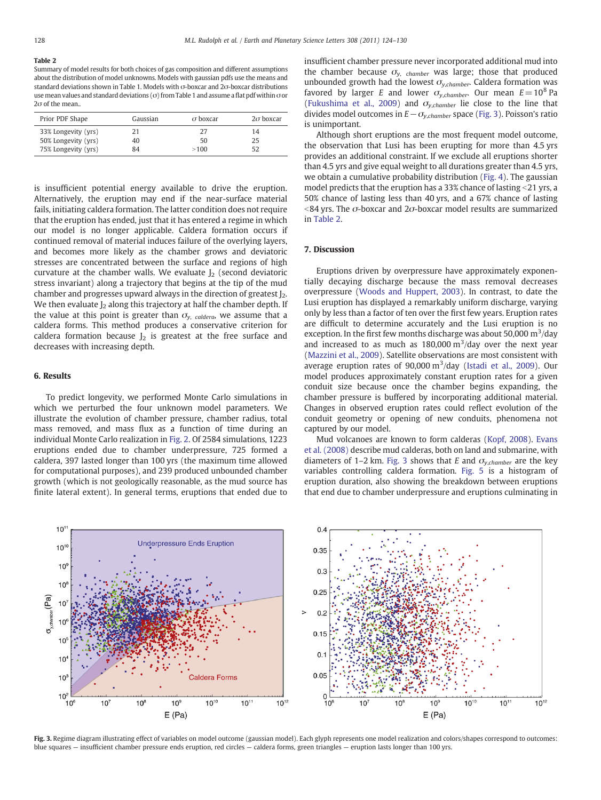#### <span id="page-4-0"></span>Table 2

Summary of model results for both choices of gas composition and different assumptions about the distribution of model unknowns. Models with gaussian pdfs use the means and standard deviations shown in Table 1. Models with σ-boxcar and 2σ-boxcar distributions use mean values and standard deviations ( $\sigma$ ) from Table 1 and assume a flat pdf within  $\sigma$  or 2σ of the mean..

| Prior PDF Shape     | Gaussian | $\sigma$ boxcar | $2\sigma$ boxcar |
|---------------------|----------|-----------------|------------------|
| 33% Longevity (yrs) | 21       | 27              | 14               |
| 50% Longevity (yrs) | 40       | 50              | 25               |
| 75% Longevity (yrs) | 84       | >100            | 52               |

is insufficient potential energy available to drive the eruption. Alternatively, the eruption may end if the near-surface material fails, initiating caldera formation. The latter condition does not require that the eruption has ended, just that it has entered a regime in which our model is no longer applicable. Caldera formation occurs if continued removal of material induces failure of the overlying layers, and becomes more likely as the chamber grows and deviatoric stresses are concentrated between the surface and regions of high curvature at the chamber walls. We evaluate  $J_2$  (second deviatoric stress invariant) along a trajectory that begins at the tip of the mud chamber and progresses upward always in the direction of greatest J<sub>2</sub>. We then evaluate  $J_2$  along this trajectory at half the chamber depth. If the value at this point is greater than  $\sigma_{y, \text{ caldera}}$ , we assume that a caldera forms. This method produces a conservative criterion for caldera formation because  $I_2$  is greatest at the free surface and decreases with increasing depth.

#### 6. Results

To predict longevity, we performed Monte Carlo simulations in which we perturbed the four unknown model parameters. We illustrate the evolution of chamber pressure, chamber radius, total mass removed, and mass flux as a function of time during an individual Monte Carlo realization in [Fig. 2.](#page-3-0) Of 2584 simulations, 1223 eruptions ended due to chamber underpressure, 725 formed a caldera, 397 lasted longer than 100 yrs (the maximum time allowed for computational purposes), and 239 produced unbounded chamber growth (which is not geologically reasonable, as the mud source has finite lateral extent). In general terms, eruptions that ended due to insufficient chamber pressure never incorporated additional mud into the chamber because  $\sigma_{y}$ , chamber was large; those that produced unbounded growth had the lowest  $\sigma_{y, chamber}$ . Caldera formation was favored by larger E and lower  $\sigma_{y, chamber}$ . Our mean  $E = 10^8$  Pa [\(Fukushima et al., 2009\)](#page-6-0) and  $\sigma_{y, chamber}$  lie close to the line that divides model outcomes in  $E - \sigma_{v, chamber}$  space (Fig. 3). Poisson's ratio is unimportant.

Although short eruptions are the most frequent model outcome, the observation that Lusi has been erupting for more than 4.5 yrs provides an additional constraint. If we exclude all eruptions shorter than 4.5 yrs and give equal weight to all durations greater than 4.5 yrs, we obtain a cumulative probability distribution [\(Fig. 4\)](#page-5-0). The gaussian model predicts that the eruption has a 33% chance of lasting  $<$  21 yrs, a 50% chance of lasting less than 40 yrs, and a 67% chance of lasting  $<$ 84 yrs. The  $\sigma$ -boxcar and 2 $\sigma$ -boxcar model results are summarized in Table 2.

#### 7. Discussion

Eruptions driven by overpressure have approximately exponentially decaying discharge because the mass removal decreases overpressure [\(Woods and Huppert, 2003](#page-6-0)). In contrast, to date the Lusi eruption has displayed a remarkably uniform discharge, varying only by less than a factor of ten over the first few years. Eruption rates are difficult to determine accurately and the Lusi eruption is no exception. In the first few months discharge was about 50,000  $\text{m}^3/\text{day}$ and increased to as much as  $180,000 \text{ m}^3/\text{day}$  over the next year [\(Mazzini et al., 2009\)](#page-6-0). Satellite observations are most consistent with average eruption rates of  $90,000 \text{ m}^3/\text{day}$  ([Istadi et al., 2009\)](#page-6-0). Our model produces approximately constant eruption rates for a given conduit size because once the chamber begins expanding, the chamber pressure is buffered by incorporating additional material. Changes in observed eruption rates could reflect evolution of the conduit geometry or opening of new conduits, phenomena not captured by our model.

Mud volcanoes are known to form calderas [\(Kopf, 2008](#page-6-0)). [Evans](#page-6-0) [et al. \(2008\)](#page-6-0) describe mud calderas, both on land and submarine, with diameters of 1–2 km. Fig. 3 shows that E and  $\sigma_{v.chamber}$  are the key variables controlling caldera formation. [Fig. 5](#page-5-0) is a histogram of eruption duration, also showing the breakdown between eruptions that end due to chamber underpressure and eruptions culminating in



Fig. 3. Regime diagram illustrating effect of variables on model outcome (gaussian model). Each glyph represents one model realization and colors/shapes correspond to outcomes: blue squares — insufficient chamber pressure ends eruption, red circles — caldera forms, green triangles — eruption lasts longer than 100 yrs.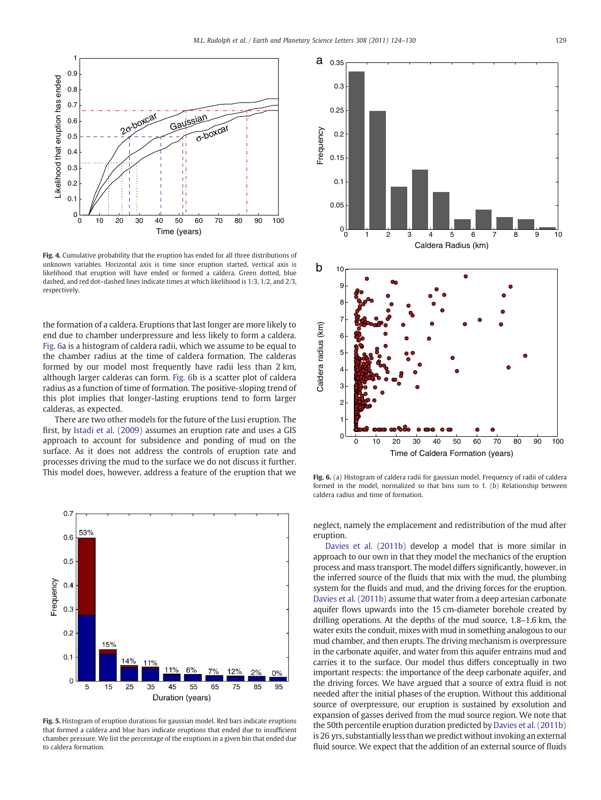<span id="page-5-0"></span>

Fig. 4. Cumulative probability that the eruption has ended for all three distributions of unknown variables. Horizontal axis is time since eruption started, vertical axis is likelihood that eruption will have ended or formed a caldera. Green dotted, blue dashed, and red dot–dashed lines indicate times at which likelihood is 1/3, 1/2, and 2/3, respectively.

the formation of a caldera. Eruptions that last longer are more likely to end due to chamber underpressure and less likely to form a caldera. Fig. 6a is a histogram of caldera radii, which we assume to be equal to the chamber radius at the time of caldera formation. The calderas formed by our model most frequently have radii less than 2 km, although larger calderas can form. Fig. 6b is a scatter plot of caldera radius as a function of time of formation. The positive-sloping trend of this plot implies that longer-lasting eruptions tend to form larger calderas, as expected.

There are two other models for the future of the Lusi eruption. The first, by [Istadi et al. \(2009\)](#page-6-0) assumes an eruption rate and uses a GIS approach to account for subsidence and ponding of mud on the surface. As it does not address the controls of eruption rate and processes driving the mud to the surface we do not discuss it further. This model does, however, address a feature of the eruption that we



Fig. 5. Histogram of eruption durations for gaussian model. Red bars indicate eruptions that formed a caldera and blue bars indicate eruptions that ended due to insufficient chamber pressure. We list the percentage of the eruptions in a given bin that ended due to caldera formation.



Fig. 6. (a) Histogram of caldera radii for gaussian model. Frequency of radii of caldera formed in the model, normalized so that bins sum to 1. (b) Relationship between caldera radius and time of formation.

neglect, namely the emplacement and redistribution of the mud after eruption.

[Davies et al. \(2011b\)](#page-6-0) develop a model that is more similar in approach to our own in that they model the mechanics of the eruption process and mass transport. The model differs significantly, however, in the inferred source of the fluids that mix with the mud, the plumbing system for the fluids and mud, and the driving forces for the eruption. [Davies et al. \(2011b\)](#page-6-0) assume that water from a deep artesian carbonate aquifer flows upwards into the 15 cm-diameter borehole created by drilling operations. At the depths of the mud source, 1.8–1.6 km, the water exits the conduit, mixes with mud in something analogous to our mud chamber, and then erupts. The driving mechanism is overpressure in the carbonate aquifer, and water from this aquifer entrains mud and carries it to the surface. Our model thus differs conceptually in two important respects: the importance of the deep carbonate aquifer, and the driving forces. We have argued that a source of extra fluid is not needed after the initial phases of the eruption. Without this additional source of overpressure, our eruption is sustained by exsolution and expansion of gasses derived from the mud source region. We note that the 50th percentile eruption duration predicted by [Davies et al. \(2011b\)](#page-6-0) is 26 yrs, substantially less than we predict without invoking an external fluid source. We expect that the addition of an external source of fluids